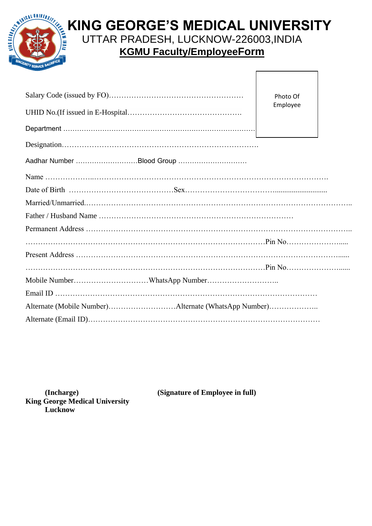

## **KING GEORGE'S MEDICAL UNIVERSITY**

 $\overline{1}$ 

Ē,

UTTAR PRADESH, LUCKNOW-226003,INDIA

**KGMU Faculty/EmployeeForm**

|                           | Photo Of |
|---------------------------|----------|
|                           | Employee |
|                           |          |
|                           |          |
| Aadhar Number Blood Group |          |
|                           |          |
|                           |          |
|                           |          |
|                           |          |
|                           |          |
|                           |          |
|                           |          |
|                           |          |
|                           |          |
|                           |          |
|                           |          |
|                           |          |

**(Incharge) (Signature of Employee in full)**

**King George Medical University Lucknow**